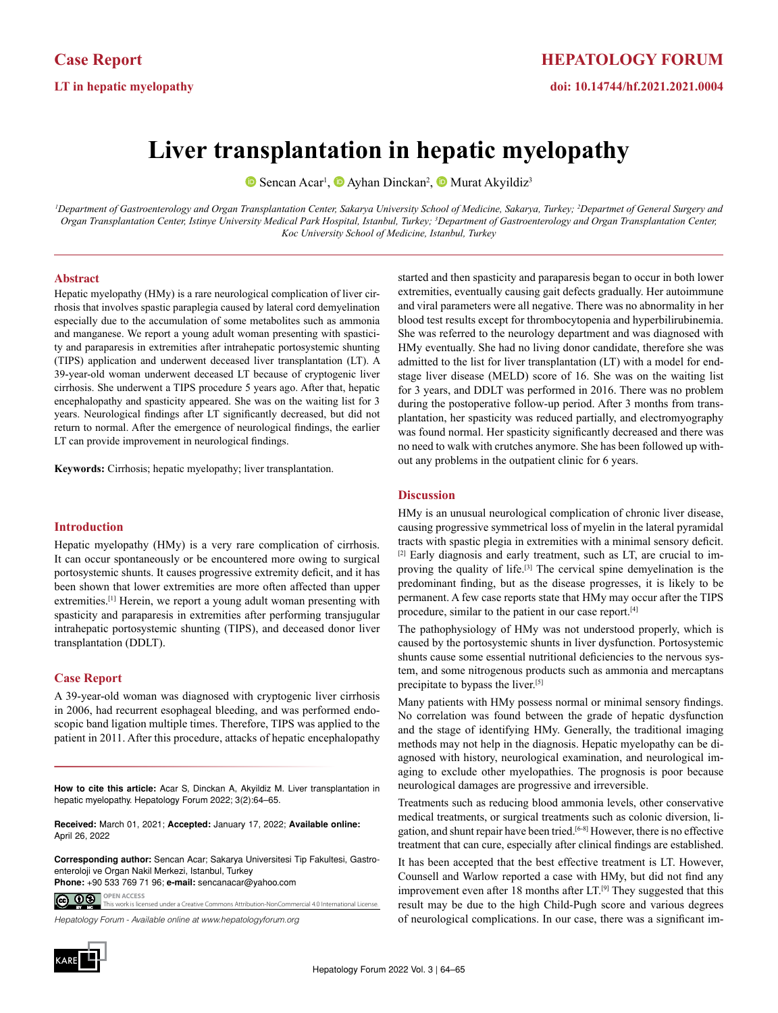# **Liver transplantation in hepatic myelopathy**

SencanAcar<sup>1</sup>, **D** [A](https://orcid.org/0000-0003-1395-333X)yhan Dinckan<sup>2</sup>, **D** Murat Akyildiz<sup>3</sup>

<sup>1</sup>Department of Gastroenterology and Organ Transplantation Center, Sakarya University School of Medicine, Sakarya, Turkey; <sup>2</sup>Departmet of General Surgery and Organ Transplantation Center, Istinye University Medical Park Hospital, Istanbul, Turkey; <sup>3</sup>Department of Gastroenterology and Organ Transplantation Center, *Koc University School of Medicine, Istanbul, Turkey*

## **Abstract**

Hepatic myelopathy (HMy) is a rare neurological complication of liver cirrhosis that involves spastic paraplegia caused by lateral cord demyelination especially due to the accumulation of some metabolites such as ammonia and manganese. We report a young adult woman presenting with spasticity and paraparesis in extremities after intrahepatic portosystemic shunting (TIPS) application and underwent deceased liver transplantation (LT). A 39-year-old woman underwent deceased LT because of cryptogenic liver cirrhosis. She underwent a TIPS procedure 5 years ago. After that, hepatic encephalopathy and spasticity appeared. She was on the waiting list for 3 years. Neurological findings after LT significantly decreased, but did not return to normal. After the emergence of neurological findings, the earlier LT can provide improvement in neurological findings.

**Keywords:** Cirrhosis; hepatic myelopathy; liver transplantation.

## **Introduction**

Hepatic myelopathy (HMy) is a very rare complication of cirrhosis. It can occur spontaneously or be encountered more owing to surgical portosystemic shunts. It causes progressive extremity deficit, and it has been shown that lower extremities are more often affected than upper extremities.<sup>[1]</sup> Herein, we report a young adult woman presenting with spasticity and paraparesis in extremities after performing transjugular intrahepatic portosystemic shunting (TIPS), and deceased donor liver transplantation (DDLT).

#### **Case Report**

A 39-year-old woman was diagnosed with cryptogenic liver cirrhosis in 2006, had recurrent esophageal bleeding, and was performed endoscopic band ligation multiple times. Therefore, TIPS was applied to the patient in 2011. After this procedure, attacks of hepatic encephalopathy

**How to cite this article:** Acar S, Dinckan A, Akyildiz M. Liver transplantation in hepatic myelopathy. Hepatology Forum 2022; 3(2):64–65.

**Received:** March 01, 2021; **Accepted:** January 17, 2022; **Available online:** April 26, 2022

**Corresponding author:** Sencan Acar; Sakarya Universitesi Tip Fakultesi, Gastroenteroloji ve Organ Nakil Merkezi, Istanbul, Turkey **Phone:** +90 533 769 71 96; **e-mail:** sencanacar@yahoo.com

**OPEN ACCESS** <u>@ 00 </u> This work is licensed under a Creative Commons Attribution-NonCommercial 4.0 International License.

*Hepatology Forum - Available online at www.hepatologyforum.org*



started and then spasticity and paraparesis began to occur in both lower extremities, eventually causing gait defects gradually. Her autoimmune and viral parameters were all negative. There was no abnormality in her blood test results except for thrombocytopenia and hyperbilirubinemia. She was referred to the neurology department and was diagnosed with HMy eventually. She had no living donor candidate, therefore she was admitted to the list for liver transplantation (LT) with a model for endstage liver disease (MELD) score of 16. She was on the waiting list for 3 years, and DDLT was performed in 2016. There was no problem during the postoperative follow-up period. After 3 months from transplantation, her spasticity was reduced partially, and electromyography was found normal. Her spasticity significantly decreased and there was no need to walk with crutches anymore. She has been followed up without any problems in the outpatient clinic for 6 years.

## **Discussion**

HMy is an unusual neurological complication of chronic liver disease, causing progressive symmetrical loss of myelin in the lateral pyramidal tracts with spastic plegia in extremities with a minimal sensory deficit. [2] Early diagnosis and early treatment, such as LT, are crucial to improving the quality of life.[3] The cervical spine demyelination is the predominant finding, but as the disease progresses, it is likely to be permanent. A few case reports state that HMy may occur after the TIPS procedure, similar to the patient in our case report.[4]

The pathophysiology of HMy was not understood properly, which is caused by the portosystemic shunts in liver dysfunction. Portosystemic shunts cause some essential nutritional deficiencies to the nervous system, and some nitrogenous products such as ammonia and mercaptans precipitate to bypass the liver.[5]

Many patients with HMy possess normal or minimal sensory findings. No correlation was found between the grade of hepatic dysfunction and the stage of identifying HMy. Generally, the traditional imaging methods may not help in the diagnosis. Hepatic myelopathy can be diagnosed with history, neurological examination, and neurological imaging to exclude other myelopathies. The prognosis is poor because neurological damages are progressive and irreversible.

Treatments such as reducing blood ammonia levels, other conservative medical treatments, or surgical treatments such as colonic diversion, ligation, and shunt repair have been tried.[6-8] However, there is no effective treatment that can cure, especially after clinical findings are established.

It has been accepted that the best effective treatment is LT. However, Counsell and Warlow reported a case with HMy, but did not find any improvement even after 18 months after LT.<sup>[9]</sup> They suggested that this result may be due to the high Child-Pugh score and various degrees of neurological complications. In our case, there was a significant im